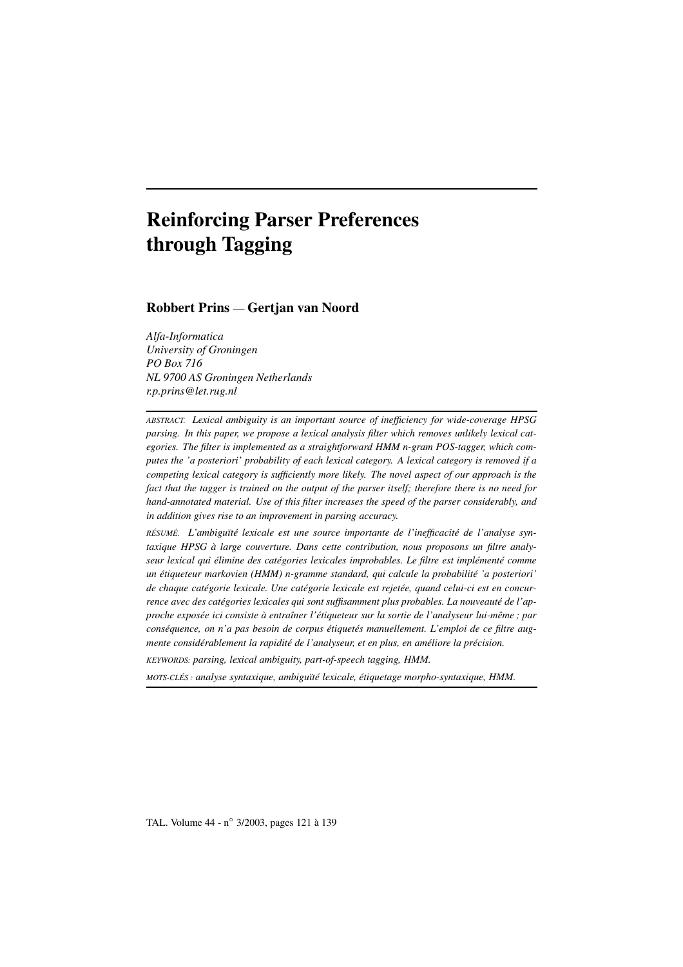# **Reinforcing Parser Preferences through Tagging**

# **Robbert Prins** — **Gertjan van Noord**

*Alfa-Informatica University of Groningen PO Box 716 NL 9700 AS Groningen Netherlands r.p.prins@let.rug.nl*

*ABSTRACT. Lexical ambiguity is an important source of inefficiency for wide-coverage HPSG parsing. In this paper, we propose a lexical analysis filter which removes unlikely lexical categories. The filter is implemented as a straightforward HMM n-gram POS-tagger, which computes the 'a posteriori' probability of each lexical category. A lexical category is removed if a competing lexical category is sufficiently more likely. The novel aspect of our approach is the* fact that the tagger is trained on the output of the parser itself; therefore there is no need for *hand-annotated material. Use of this filter increases the speed of the parser considerably, and in addition gives rise to an improvement in parsing accuracy.*

*RESUM ´ E. ´ L'ambigu¨ıte´ lexicale est une source importante de l'inefficacite´ de l'analyse syntaxique HPSG a` large couverture. Dans cette contribution, nous proposons un filtre analyseur lexical qui elimine ´ des categories ´ lexicales improbables. Le filtre est implement ´ e´ comme un etiqueteur ´ markovien (HMM) n-gramme standard, qui calcule la probabilite´ 'a posteriori' de chaque categorie ´ lexicale. Une categorie ´ lexicale est rejetee´ , quand celui-ci est en concurrence avec des categories ´ lexicales qui sont suffisamment plus probables. La nouveaute´ de l'approche exposee´ ici consiste a` entraˆıner l'etiqueteur ´ sur la sortie de l'analyseur lui-meme ˆ ; par* conséquence, on n'a pas besoin de corpus étiquetés manuellement. L'emploi de ce filtre aug*mente consider´ ablement la rapidite´ de l'analyseur, et en plus, en amelior ´ e la precision. ´*

*KEYWORDS: parsing, lexical ambiguity, part-of-speech tagging, HMM.*

*MOTS-CLES´ : analyse syntaxique, ambigu¨ıte´ lexicale, etiqueta ´ ge morpho-syntaxique, HMM.*

TAL. Volume 44 - n<sup>o</sup> 3/2003, pages 121 à 139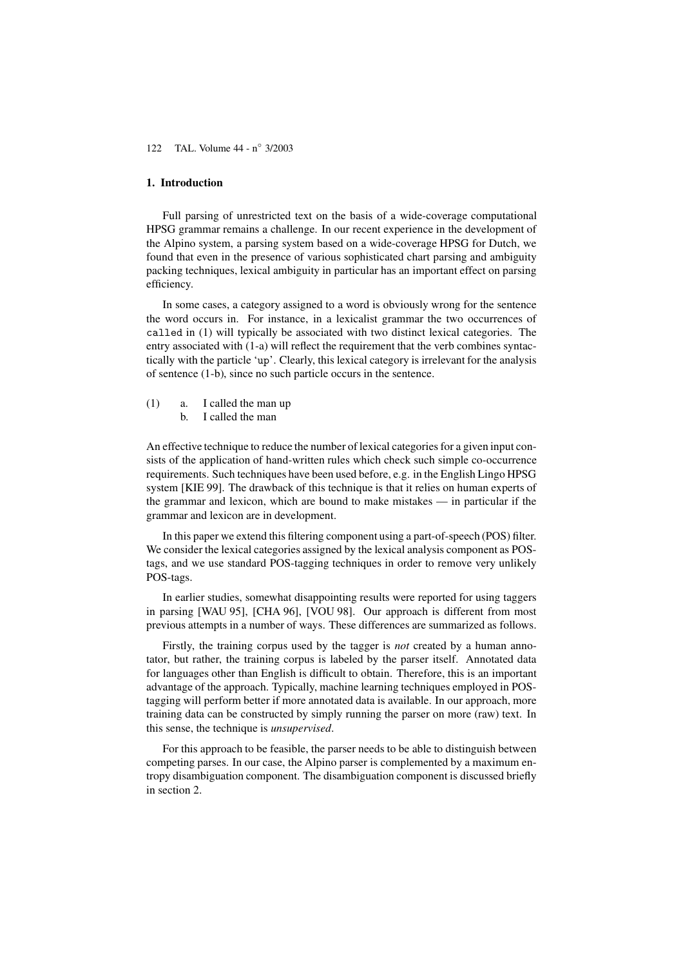#### **1. Introduction**

Full parsing of unrestricted text on the basis of a wide-coverage computational HPSG grammar remains a challenge. In our recent experience in the development of the Alpino system, a parsing system based on a wide-coverage HPSG for Dutch, we found that even in the presence of various sophisticated chart parsing and ambiguity packing techniques, lexical ambiguity in particular has an important effect on parsing efficiency.

In some cases, a category assigned to a word is obviously wrong for the sentence the word occurs in. For instance, in a lexicalist grammar the two occurrences of called in (1) will typically be associated with two distinct lexical categories. The entry associated with (1-a) will reflect the requirement that the verb combines syntactically with the particle 'up'. Clearly, this lexical category is irrelevant for the analysis of sentence (1-b), since no such particle occurs in the sentence.

(1) a. I called the man up b. I called the man

An effective technique to reduce the number of lexical categories for a given input consists of the application of hand-written rules which check such simple co-occurrence requirements. Such techniques have been used before, e.g. in the English Lingo HPSG system [KIE 99]. The drawback of this technique is that it relies on human experts of the grammar and lexicon, which are bound to make mistakes — in particular if the grammar and lexicon are in development.

In this paper we extend this filtering component using a part-of-speech (POS) filter. We consider the lexical categories assigned by the lexical analysis component as POStags, and we use standard POS-tagging techniques in order to remove very unlikely POS-tags.

In earlier studies, somewhat disappointing results were reported for using taggers in parsing [WAU 95], [CHA 96], [VOU 98]. Our approach is different from most previous attempts in a number of ways. These differences are summarized as follows.

Firstly, the training corpus used by the tagger is *not* created by a human annotator, but rather, the training corpus is labeled by the parser itself. Annotated data for languages other than English is difficult to obtain. Therefore, this is an important advantage of the approach. Typically, machine learning techniques employed in POStagging will perform better if more annotated data is available. In our approach, more training data can be constructed by simply running the parser on more (raw) text. In this sense, the technique is *unsupervised*.

For this approach to be feasible, the parser needs to be able to distinguish between competing parses. In our case, the Alpino parser is complemented by a maximum entropy disambiguation component. The disambiguation component is discussed briefly in section 2.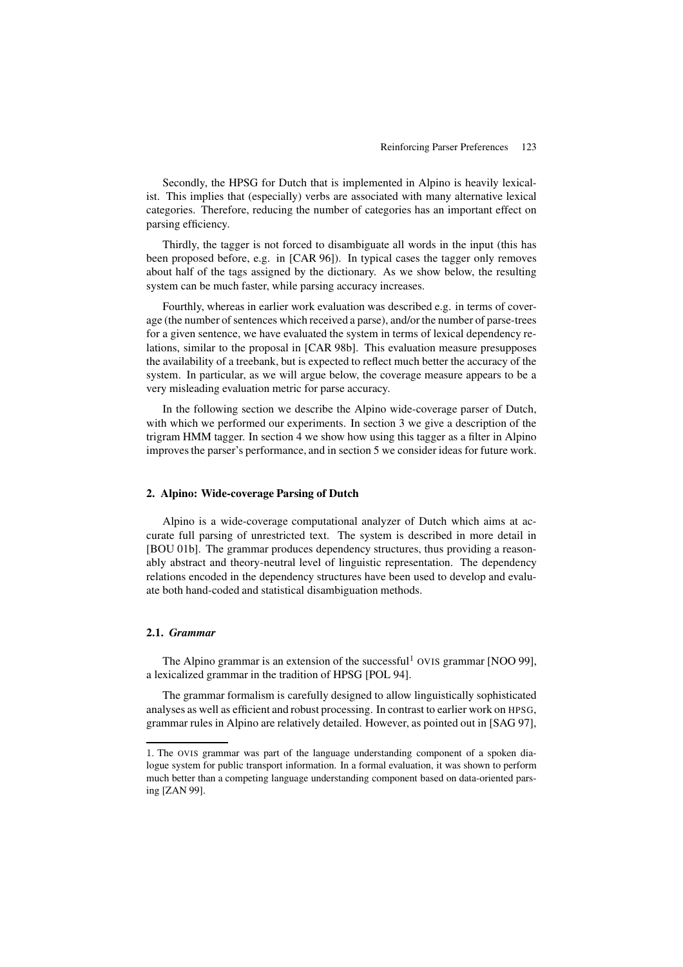Secondly, the HPSG for Dutch that is implemented in Alpino is heavily lexicalist. This implies that (especially) verbs are associated with many alternative lexical categories. Therefore, reducing the number of categories has an important effect on parsing efficiency.

Thirdly, the tagger is not forced to disambiguate all words in the input (this has been proposed before, e.g. in [CAR 96]). In typical cases the tagger only removes about half of the tags assigned by the dictionary. As we show below, the resulting system can be much faster, while parsing accuracy increases.

Fourthly, whereas in earlier work evaluation was described e.g. in terms of coverage (the number of sentences which received a parse), and/or the number of parse-trees for a given sentence, we have evaluated the system in terms of lexical dependency relations, similar to the proposal in [CAR 98b]. This evaluation measure presupposes the availability of a treebank, but is expected to reflect much better the accuracy of the system. In particular, as we will argue below, the coverage measure appears to be a very misleading evaluation metric for parse accuracy.

In the following section we describe the Alpino wide-coverage parser of Dutch, with which we performed our experiments. In section 3 we give a description of the trigram HMM tagger. In section 4 we show how using this tagger as a filter in Alpino improvesthe parser's performance, and in section 5 we consider ideas for future work.

## **2. Alpino: Wide-coverage Parsing of Dutch**

Alpino is a wide-coverage computational analyzer of Dutch which aims at accurate full parsing of unrestricted text. The system is described in more detail in [BOU 01b]. The grammar produces dependency structures, thus providing a reasonably abstract and theory-neutral level of linguistic representation. The dependency relations encoded in the dependency structures have been used to develop and evaluate both hand-coded and statistical disambiguation methods.

## **2.1.** *Grammar*

The Alpino grammar is an extension of the successful<sup>1</sup> OVIS grammar [NOO 99], a lexicalized grammar in the tradition of HPSG [POL 94].

The grammar formalism is carefully designed to allow linguistically sophisticated analyses as well as efficient and robust processing. In contrast to earlier work on HPSG, grammar rules in Alpino are relatively detailed. However, as pointed out in [SAG 97],

<sup>1</sup>. The OVIS grammar was part of the language understanding component of a spoken dialogue system for public transport information. In a formal evaluation, it was shown to perform much better than a competing language understanding component based on data-oriented parsing [ZAN 99].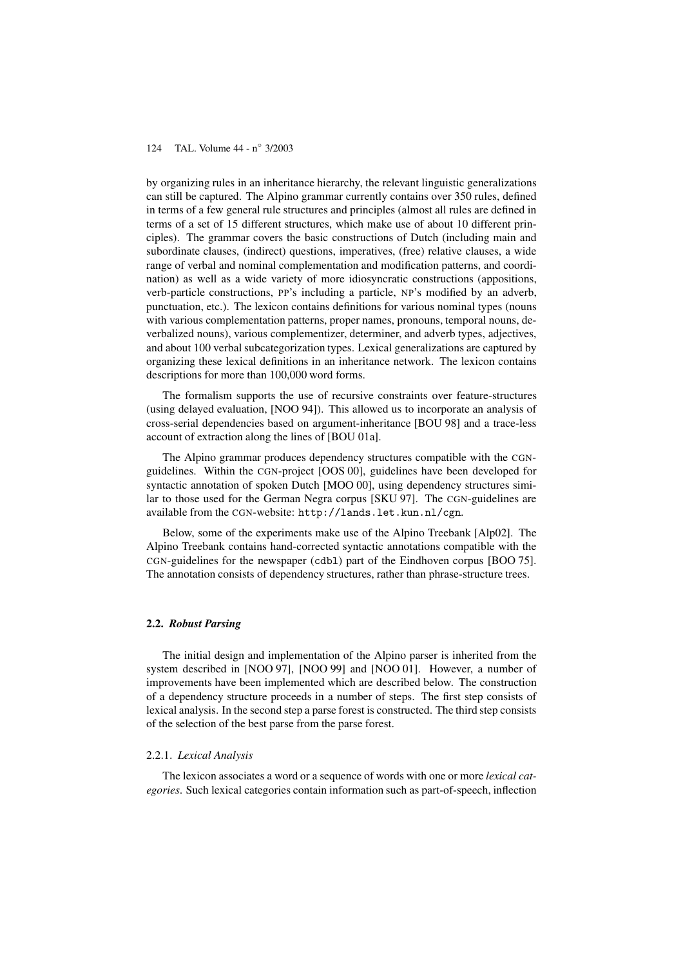by organizing rules in an inheritance hierarchy, the relevant linguistic generalizations can still be captured. The Alpino grammar currently contains over 350 rules, defined in terms of a few general rule structures and principles (almost all rules are defined in terms of a set of 15 different structures, which make use of about 10 different principles). The grammar covers the basic constructions of Dutch (including main and subordinate clauses, (indirect) questions, imperatives, (free) relative clauses, a wide range of verbal and nominal complementation and modification patterns, and coordination) as well as a wide variety of more idiosyncratic constructions (appositions, verb-particle constructions, PP's including a particle, NP's modified by an adverb, punctuation, etc.). The lexicon contains definitions for various nominal types (nouns with various complementation patterns, proper names, pronouns, temporal nouns, deverbalized nouns), various complementizer, determiner, and adverb types, adjectives, and about 100 verbal subcategorization types. Lexical generalizations are captured by organizing these lexical definitions in an inheritance network. The lexicon contains descriptions for more than 100,000 word forms.

The formalism supports the use of recursive constraints over feature-structures (using delayed evaluation, [NOO 94]). This allowed us to incorporate an analysis of cross-serial dependencies based on argument-inheritance [BOU 98] and a trace-less account of extraction along the lines of [BOU 01a].

The Alpino grammar produces dependency structures compatible with the CGNguidelines. Within the CGN-project [OOS 00], guidelines have been developed for syntactic annotation of spoken Dutch [MOO 00], using dependency structures similar to those used for the German Negra corpus [SKU 97]. The CGN-guidelines are available from the CGN-website: http://lands.let.kun.nl/cgn.

Below, some of the experiments make use of the Alpino Treebank [Alp02]. The Alpino Treebank contains hand-corrected syntactic annotations compatible with the CGN-guidelines for the newspaper (cdbl) part of the Eindhoven corpus [BOO 75]. The annotation consists of dependency structures, rather than phrase-structure trees.

#### **2.2.** *Robust Parsing*

The initial design and implementation of the Alpino parser is inherited from the system described in [NOO 97], [NOO 99] and [NOO 01]. However, a number of improvements have been implemented which are described below. The construction of a dependency structure proceeds in a number of steps. The first step consists of lexical analysis. In the second step a parse forest is constructed. The third step consists of the selection of the best parse from the parse forest.

#### 2.2.1. *Lexical Analysis*

The lexicon associates a word or a sequence of words with one or more *lexical categories*. Such lexical categories contain information such as part-of-speech, inflection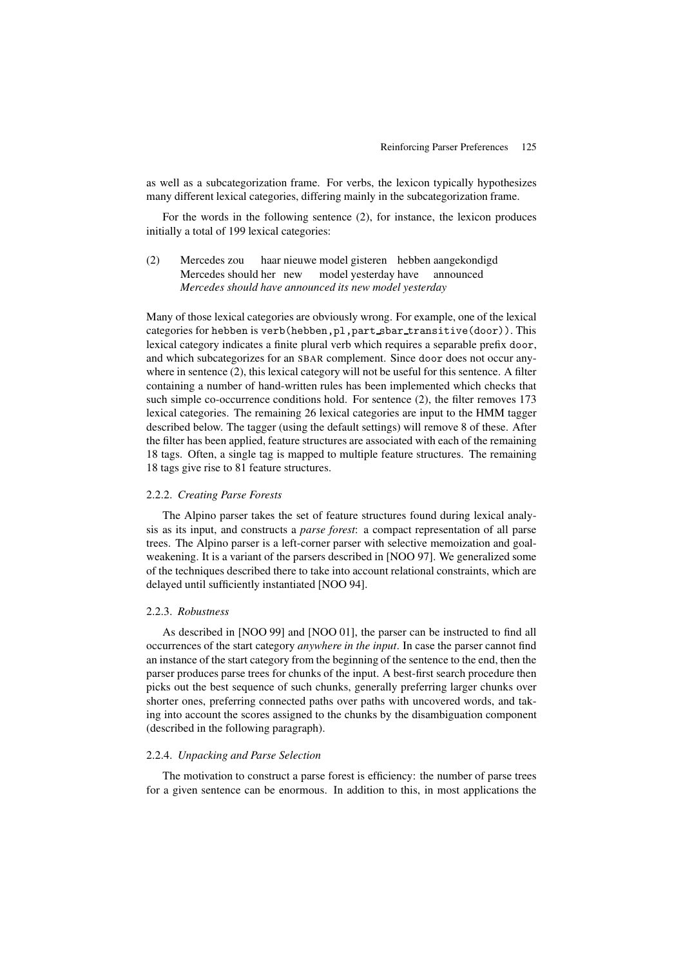as well as a subcategorization frame. For verbs, the lexicon typically hypothesizes many different lexical categories, differing mainly in the subcategorization frame.

For the words in the following sentence (2), for instance, the lexicon produces initially a total of 199 lexical categories:

(2) Mercedes zou Mercedes should her new haar nieuwe model gisteren hebben aangekondigd model yesterday have announced *Mercedes should have announced its new model yesterday*

Many of those lexical categories are obviously wrong. For example, one of the lexical categories for hebben is verb(hebben,pl,part sbar transitive(door)). This lexical category indicates a finite plural verb which requires a separable prefix door, and which subcategorizes for an SBAR complement. Since door does not occur anywhere in sentence (2), this lexical category will not be useful for this sentence. A filter containing a number of hand-written rules has been implemented which checks that such simple co-occurrence conditions hold. For sentence (2), the filter removes 173 lexical categories. The remaining 26 lexical categories are input to the HMM tagger described below. The tagger (using the default settings) will remove 8 of these. After the filter has been applied, feature structures are associated with each of the remaining 18 tags. Often, a single tag is mapped to multiple feature structures. The remaining 18 tags give rise to 81 feature structures.

#### 2.2.2. *Creating Parse Forests*

The Alpino parser takes the set of feature structures found during lexical analysis as its input, and constructs a *parse forest*: a compact representation of all parse trees. The Alpino parser is a left-corner parser with selective memoization and goalweakening. It is a variant of the parsers described in [NOO 97]. We generalized some of the techniques described there to take into account relational constraints, which are delayed until sufficiently instantiated [NOO 94].

#### 2.2.3. *Robustness*

As described in [NOO 99] and [NOO 01], the parser can be instructed to find all occurrences of the start category *anywhere in the input*. In case the parser cannot find an instance of the start category from the beginning of the sentence to the end, then the parser produces parse trees for chunks of the input. A best-first search procedure then picks out the best sequence of such chunks, generally preferring larger chunks over shorter ones, preferring connected paths over paths with uncovered words, and taking into account the scores assigned to the chunks by the disambiguation component (described in the following paragraph).

#### 2.2.4. *Unpacking and Parse Selection*

The motivation to construct a parse forest is efficiency: the number of parse trees for a given sentence can be enormous. In addition to this, in most applications the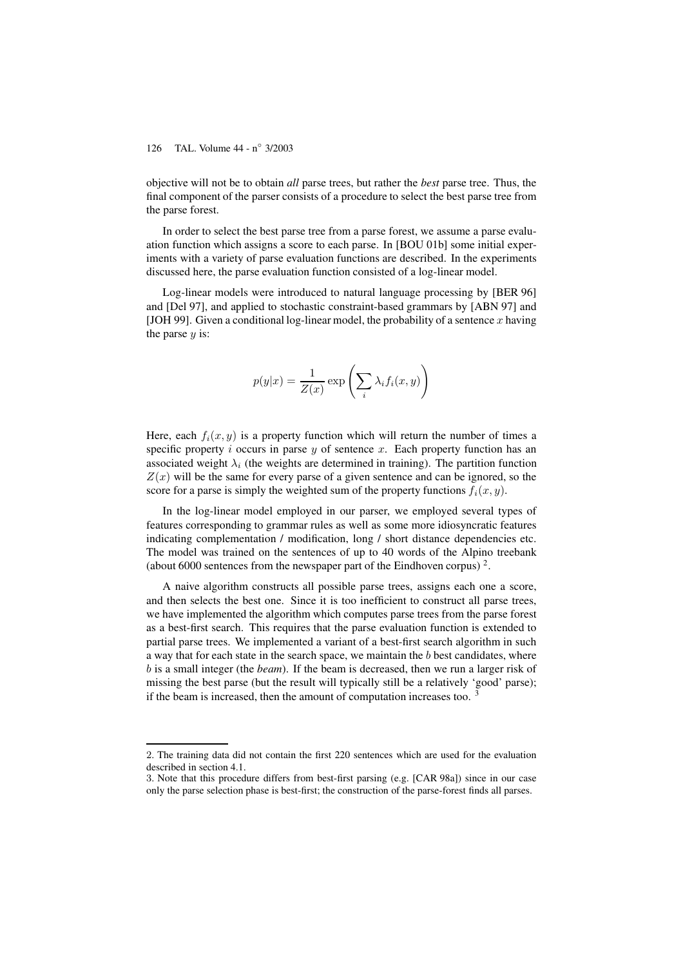objective will not be to obtain *all* parse trees, but rather the *best* parse tree. Thus, the final component of the parser consists of a procedure to select the best parse tree from the parse forest.

In order to select the best parse tree from a parse forest, we assume a parse evaluation function which assigns a score to each parse. In [BOU 01b] some initial experiments with a variety of parse evaluation functions are described. In the experiments discussed here, the parse evaluation function consisted of a log-linear model.

Log-linear models were introduced to natural language processing by [BER 96] and [Del 97], and applied to stochastic constraint-based grammars by [ABN 97] and [JOH 99]. Given a conditional log-linear model, the probability of a sentence  $x$  having the parse  $y$  is:

$$
p(y|x) = \frac{1}{Z(x)} \exp\left(\sum_{i} \lambda_i f_i(x, y)\right)
$$

Here, each  $f_i(x, y)$  is a property function which will return the number of times a specific property  $i$  occurs in parse  $y$  of sentence  $x$ . Each property function has an associated weight  $\lambda_i$  (the weights are determined in training). The partition function  $Z(x)$  will be the same for every parse of a given sentence and can be ignored, so the score for a parse is simply the weighted sum of the property functions  $f_i(x, y)$ .

In the log-linear model employed in our parser, we employed several types of features corresponding to grammar rules as well as some more idiosyncratic features indicating complementation / modification, long / short distance dependencies etc. The model was trained on the sentences of up to 40 words of the Alpino treebank (about 6000 sentences from the newspaper part of the Eindhoven corpus)<sup>2</sup>.

A naive algorithm constructs all possible parse trees, assigns each one a score, and then selects the best one. Since it is too inefficient to construct all parse trees, we have implemented the algorithm which computes parse trees from the parse forest as a best-first search. This requires that the parse evaluation function is extended to partial parse trees. We implemented a variant of a best-first search algorithm in such a way that for each state in the search space, we maintain the  $b$  best candidates, where b is a small integer (the *beam*). If the beam is decreased, then we run a larger risk of missing the best parse (but the result will typically still be a relatively 'good' parse); if the beam is increased, then the amount of computation increases too.

<sup>2</sup>. The training data did not contain the first 220 sentences which are used for the evaluation described in section 4.1.

<sup>3</sup>. Note that this procedure differs from best-first parsing (e.g. [CAR 98a]) since in our case only the parse selection phase is best-first; the construction of the parse-forest finds all parses.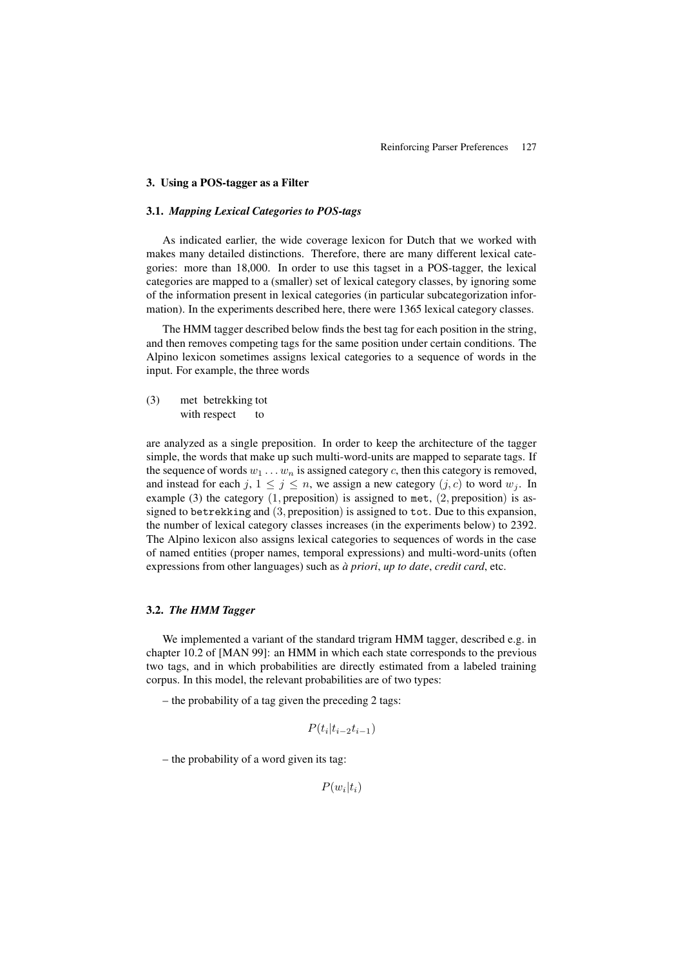#### **3. Using a POS-tagger as a Filter**

#### **3.1.** *Mapping Lexical Categories to POS-tags*

As indicated earlier, the wide coverage lexicon for Dutch that we worked with makes many detailed distinctions. Therefore, there are many different lexical categories: more than 18,000. In order to use this tagset in a POS-tagger, the lexical categories are mapped to a (smaller) set of lexical category classes, by ignoring some of the information present in lexical categories (in particular subcategorization information). In the experiments described here, there were 1365 lexical category classes.

The HMM tagger described below finds the best tag for each position in the string, and then removes competing tags for the same position under certain conditions. The Alpino lexicon sometimes assigns lexical categories to a sequence of words in the input. For example, the three words

(3) met betrekking tot with respect to

are analyzed as a single preposition. In order to keep the architecture of the tagger simple, the words that make up such multi-word-units are mapped to separate tags. If the sequence of words  $w_1 \ldots w_n$  is assigned category c, then this category is removed, and instead for each j,  $1 \le j \le n$ , we assign a new category  $(j, c)$  to word  $w_j$ . In example (3) the category  $(1, \text{preposition})$  is assigned to met,  $(2, \text{preposition})$  is assigned to betrekking and (3, preposition) is assigned to tot. Due to this expansion, the number of lexical category classes increases (in the experiments below) to 2392. The Alpino lexicon also assigns lexical categories to sequences of words in the case of named entities (proper names, temporal expressions) and multi-word-units (often expressions from other languages) such as *a` priori*, *up to date*, *credit card*, etc.

## **3.2.** *The HMM Tagger*

We implemented a variant of the standard trigram HMM tagger, described e.g. in chapter 10.2 of [MAN 99]: an HMM in which each state corresponds to the previous two tags, and in which probabilities are directly estimated from a labeled training corpus. In this model, the relevant probabilities are of two types:

– the probability of a tag given the preceding 2 tags:

$$
P(t_i|t_{i-2}t_{i-1})
$$

– the probability of a word given its tag:

 $P(w_i|t_i)$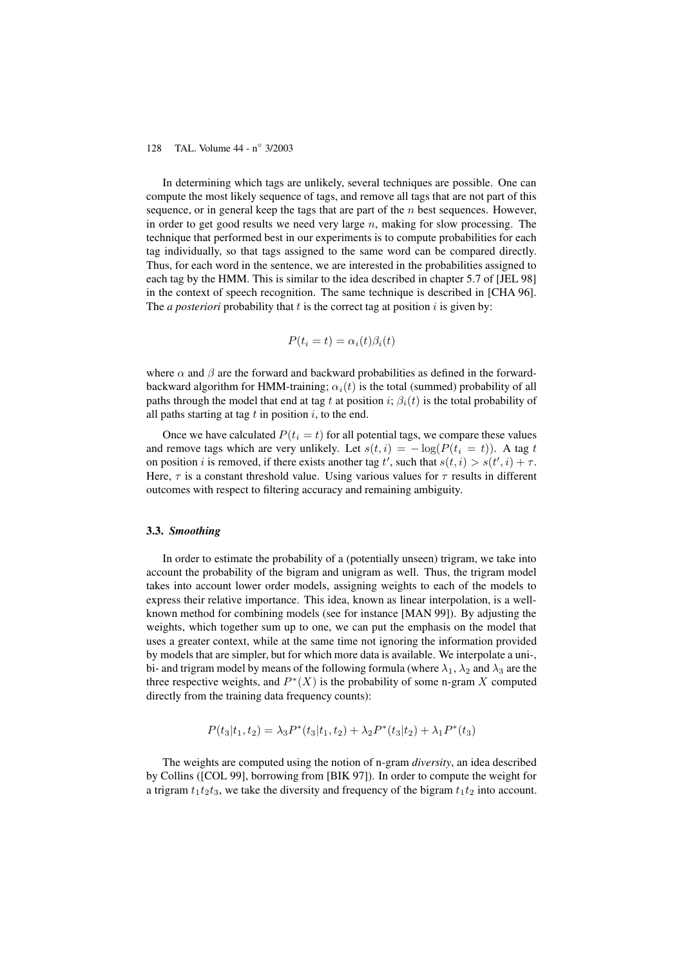In determining which tags are unlikely, several techniques are possible. One can compute the most likely sequence of tags, and remove all tags that are not part of this sequence, or in general keep the tags that are part of the  $n$  best sequences. However, in order to get good results we need very large  $n$ , making for slow processing. The technique that performed best in our experiments is to compute probabilities for each tag individually, so that tags assigned to the same word can be compared directly. Thus, for each word in the sentence, we are interested in the probabilities assigned to each tag by the HMM. This is similar to the idea described in chapter 5.7 of [JEL 98] in the context of speech recognition. The same technique is described in [CHA 96]. The *a posteriori* probability that  $t$  is the correct tag at position  $i$  is given by:

$$
P(t_i = t) = \alpha_i(t)\beta_i(t)
$$

where  $\alpha$  and  $\beta$  are the forward and backward probabilities as defined in the forwardbackward algorithm for HMM-training;  $\alpha_i(t)$  is the total (summed) probability of all paths through the model that end at tag t at position i;  $\beta_i(t)$  is the total probability of all paths starting at tag  $t$  in position  $i$ , to the end.

Once we have calculated  $P(t_i = t)$  for all potential tags, we compare these values and remove tags which are very unlikely. Let  $s(t, i) = -\log(P(t_i = t))$ . A tag t on position i is removed, if there exists another tag  $t'$ , such that  $s(t, i) > s(t', i) + \tau$ . Here,  $\tau$  is a constant threshold value. Using various values for  $\tau$  results in different outcomes with respect to filtering accuracy and remaining ambiguity.

#### **3.3.** *Smoothing*

In order to estimate the probability of a (potentially unseen) trigram, we take into account the probability of the bigram and unigram as well. Thus, the trigram model takes into account lower order models, assigning weights to each of the models to express their relative importance. This idea, known as linear interpolation, is a wellknown method for combining models (see for instance [MAN 99]). By adjusting the weights, which together sum up to one, we can put the emphasis on the model that uses a greater context, while at the same time not ignoring the information provided by models that are simpler, but for which more data is available. We interpolate a uni-, bi- and trigram model by means of the following formula (where  $\lambda_1$ ,  $\lambda_2$  and  $\lambda_3$  are the three respective weights, and  $P^*(X)$  is the probability of some n-gram X computed directly from the training data frequency counts):

$$
P(t_3|t_1, t_2) = \lambda_3 P^*(t_3|t_1, t_2) + \lambda_2 P^*(t_3|t_2) + \lambda_1 P^*(t_3)
$$

The weights are computed using the notion of n-gram *diversity*, an idea described by Collins ([COL 99], borrowing from [BIK 97]). In order to compute the weight for a trigram  $t_1t_2t_3$ , we take the diversity and frequency of the bigram  $t_1t_2$  into account.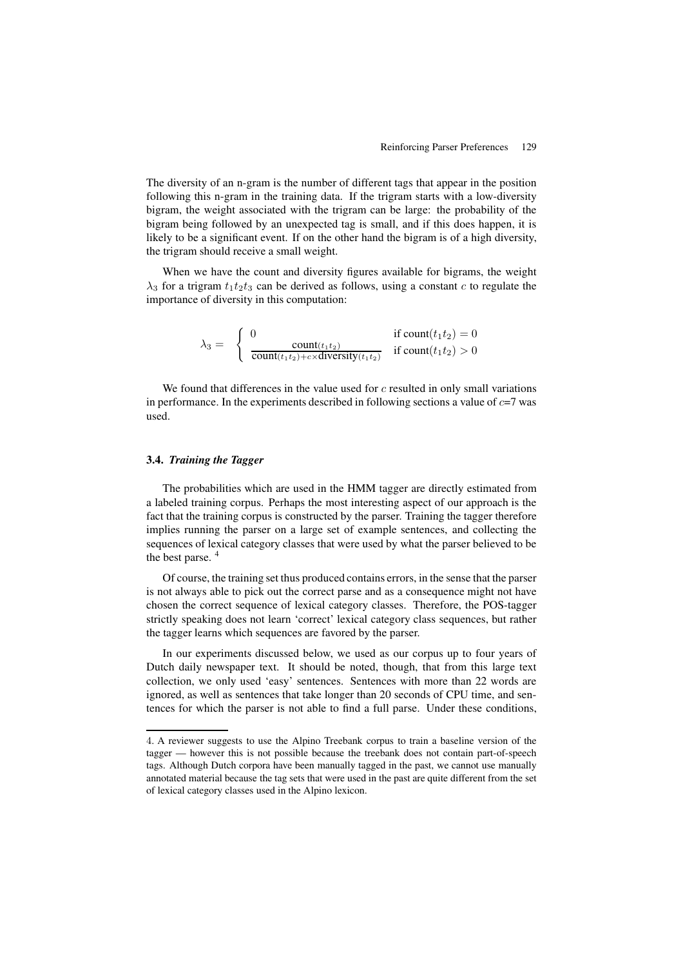The diversity of an n-gram is the number of different tags that appear in the position following this n-gram in the training data. If the trigram starts with a low-diversity bigram, the weight associated with the trigram can be large: the probability of the bigram being followed by an unexpected tag is small, and if this does happen, it is likely to be a significant event. If on the other hand the bigram is of a high diversity, the trigram should receive a small weight.

When we have the count and diversity figures available for bigrams, the weight  $\lambda_3$  for a trigram  $t_1t_2t_3$  can be derived as follows, using a constant c to regulate the importance of diversity in this computation:

$$
\lambda_3 = \begin{cases} 0 & \text{if count}(t_1 t_2) = 0\\ \frac{\text{count}(t_1 t_2)}{\text{count}(t_1 t_2) + c \times \text{diversity}(t_1 t_2)} & \text{if count}(t_1 t_2) > 0 \end{cases}
$$

We found that differences in the value used for  $c$  resulted in only small variations in performance. In the experiments described in following sections a value of  $c=7$  was used.

## **3.4.** *Training the Tagger*

The probabilities which are used in the HMM tagger are directly estimated from a labeled training corpus. Perhaps the most interesting aspect of our approach is the fact that the training corpus is constructed by the parser. Training the tagger therefore implies running the parser on a large set of example sentences, and collecting the sequences of lexical category classes that were used by what the parser believed to be the best parse.<sup>4</sup>

Of course, the training set thus produced contains errors, in the sense that the parser is not always able to pick out the correct parse and as a consequence might not have chosen the correct sequence of lexical category classes. Therefore, the POS-tagger strictly speaking does not learn 'correct' lexical category class sequences, but rather the tagger learns which sequences are favored by the parser.

In our experiments discussed below, we used as our corpus up to four years of Dutch daily newspaper text. It should be noted, though, that from this large text collection, we only used 'easy' sentences. Sentences with more than 22 words are ignored, as well as sentences that take longer than 20 seconds of CPU time, and sentences for which the parser is not able to find a full parse. Under these conditions,

<sup>4</sup>. A reviewer suggests to use the Alpino Treebank corpus to train a baseline version of the tagger — however this is not possible because the treebank does not contain part-of-speech tags. Although Dutch corpora have been manually tagged in the past, we cannot use manually annotated material because the tag sets that were used in the past are quite different from the set of lexical category classes used in the Alpino lexicon.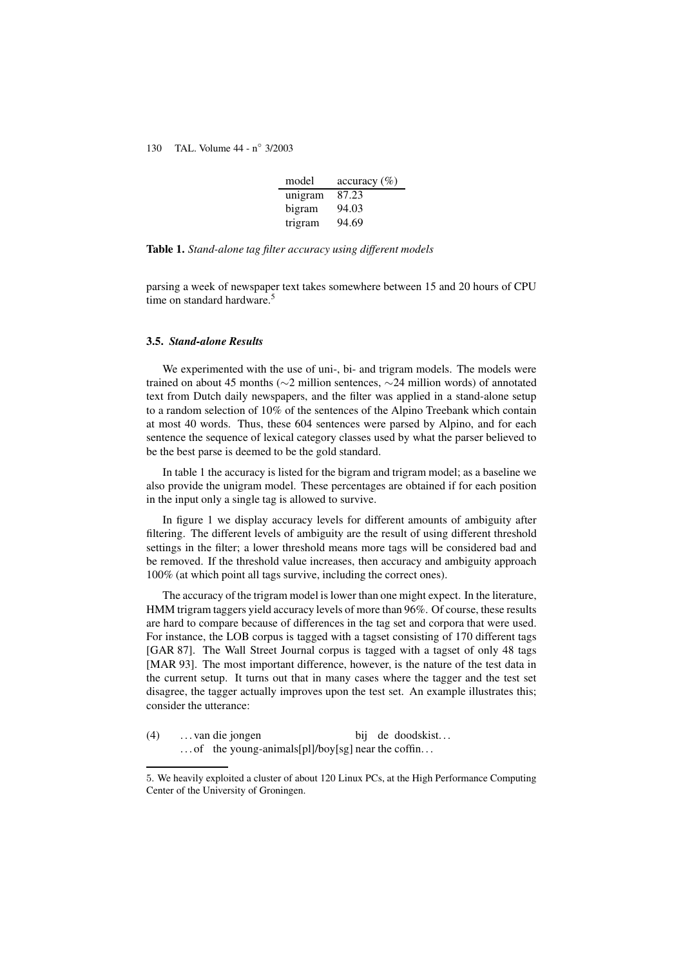| model   | accuracy $(\% )$ |
|---------|------------------|
| unigram | 87.23            |
| bigram  | 94.03            |
| trigram | 94.69            |

**Table 1.** *Stand-alone tag filter accuracy using different models*

parsing a week of newspaper text takes somewhere between 15 and 20 hours of CPU time on standard hardware.<sup>5</sup>

#### **3.5.** *Stand-alone Results*

We experimented with the use of uni-, bi- and trigram models. The models were trained on about 45 months (∼2 million sentences, ∼24 million words) of annotated text from Dutch daily newspapers, and the filter was applied in a stand-alone setup to a random selection of 10% of the sentences of the Alpino Treebank which contain at most 40 words. Thus, these 604 sentences were parsed by Alpino, and for each sentence the sequence of lexical category classes used by what the parser believed to be the best parse is deemed to be the gold standard.

In table 1 the accuracy is listed for the bigram and trigram model; as a baseline we also provide the unigram model. These percentages are obtained if for each position in the input only a single tag is allowed to survive.

In figure 1 we display accuracy levels for different amounts of ambiguity after filtering. The different levels of ambiguity are the result of using different threshold settings in the filter; a lower threshold means more tags will be considered bad and be removed. If the threshold value increases, then accuracy and ambiguity approach 100% (at which point all tags survive, including the correct ones).

The accuracy of the trigram model is lower than one might expect. In the literature, HMM trigram taggers yield accuracy levels of more than 96%. Of course, these results are hard to compare because of differences in the tag set and corpora that were used. For instance, the LOB corpus is tagged with a tagset consisting of 170 different tags [GAR 87]. The Wall Street Journal corpus is tagged with a tagset of only 48 tags [MAR 93]. The most important difference, however, is the nature of the test data in the current setup. It turns out that in many cases where the tagger and the test set disagree, the tagger actually improves upon the test set. An example illustrates this; consider the utterance:

(4) . . . van die jongen ... of the young-animals[pl]/boy[sg] near the coffin... bij de doodskist. . .

<sup>5</sup>. We heavily exploited a cluster of about 120 Linux PCs, at the High Performance Computing Center of the University of Groningen.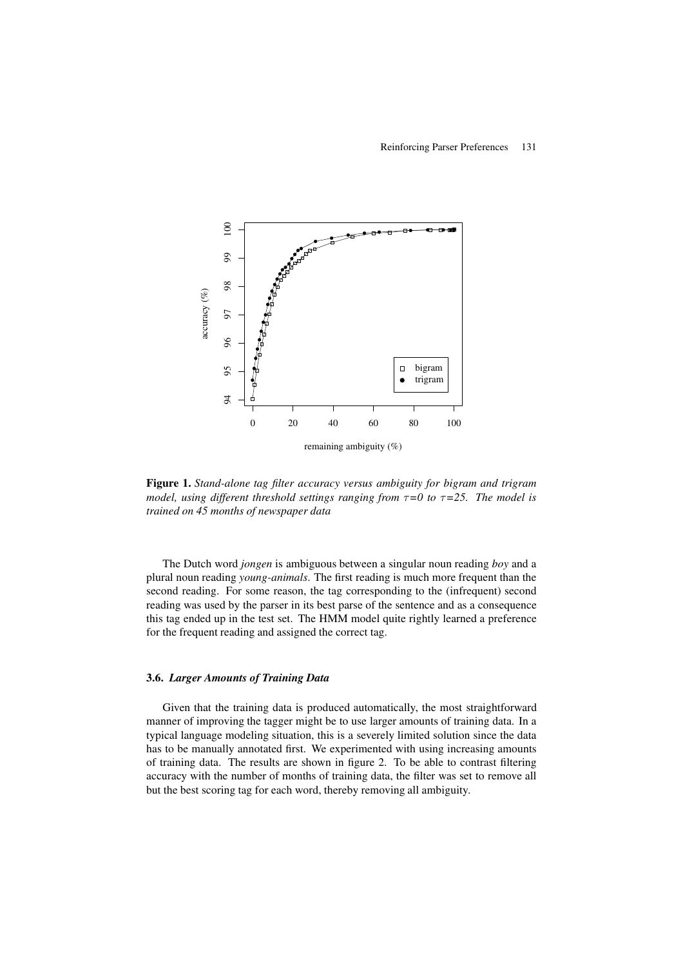

**Figure 1.** *Stand-alone tag filter accuracy versus ambiguity for bigram and trigram model, using different threshold settings ranging from* τ*=0 to* τ*=25. The model is trained on 45 months of newspaper data*

The Dutch word *jongen* is ambiguous between a singular noun reading *boy* and a plural noun reading *young-animals*. The first reading is much more frequent than the second reading. For some reason, the tag corresponding to the (infrequent) second reading was used by the parser in its best parse of the sentence and as a consequence this tag ended up in the test set. The HMM model quite rightly learned a preference for the frequent reading and assigned the correct tag.

## **3.6.** *Larger Amounts of Training Data*

Given that the training data is produced automatically, the most straightforward manner of improving the tagger might be to use larger amounts of training data. In a typical language modeling situation, this is a severely limited solution since the data has to be manually annotated first. We experimented with using increasing amounts of training data. The results are shown in figure 2. To be able to contrast filtering accuracy with the number of months of training data, the filter was set to remove all but the best scoring tag for each word, thereby removing all ambiguity.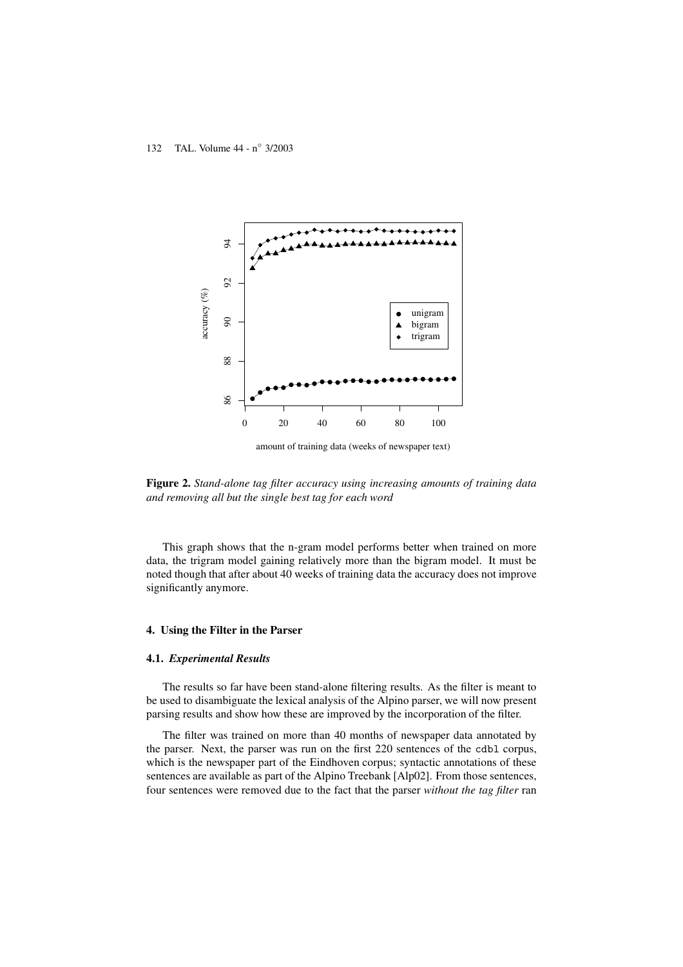

amount of training data (weeks of newspaper text)

**Figure 2.** *Stand-alone tag filter accuracy using increasing amounts of training data and removing all but the single best tag for each word*

This graph shows that the n-gram model performs better when trained on more data, the trigram model gaining relatively more than the bigram model. It must be noted though that after about 40 weeks of training data the accuracy does not improve significantly anymore.

#### **4. Using the Filter in the Parser**

## **4.1.** *Experimental Results*

The results so far have been stand-alone filtering results. As the filter is meant to be used to disambiguate the lexical analysis of the Alpino parser, we will now present parsing results and show how these are improved by the incorporation of the filter.

The filter was trained on more than 40 months of newspaper data annotated by the parser. Next, the parser was run on the first 220 sentences of the cdbl corpus, which is the newspaper part of the Eindhoven corpus; syntactic annotations of these sentences are available as part of the Alpino Treebank [Alp02]. From those sentences, four sentences were removed due to the fact that the parser *without the tag filter* ran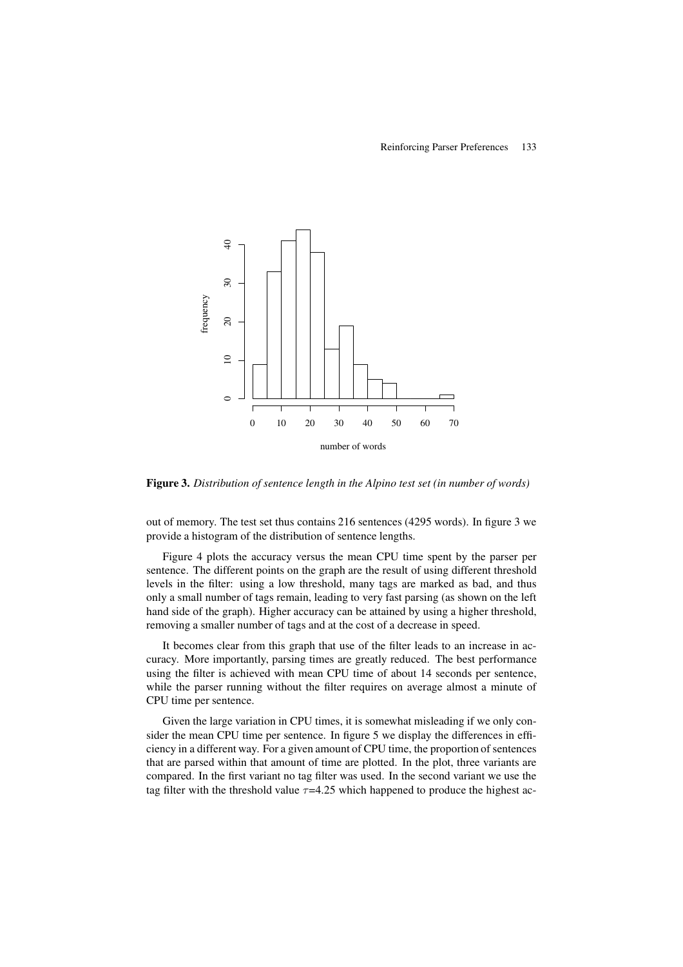

**Figure 3.** *Distribution of sentence length in the Alpino test set (in number of words)*

out of memory. The test set thus contains 216 sentences (4295 words). In figure 3 we provide a histogram of the distribution of sentence lengths.

Figure 4 plots the accuracy versus the mean CPU time spent by the parser per sentence. The different points on the graph are the result of using different threshold levels in the filter: using a low threshold, many tags are marked as bad, and thus only a small number of tags remain, leading to very fast parsing (as shown on the left hand side of the graph). Higher accuracy can be attained by using a higher threshold, removing a smaller number of tags and at the cost of a decrease in speed.

It becomes clear from this graph that use of the filter leads to an increase in accuracy. More importantly, parsing times are greatly reduced. The best performance using the filter is achieved with mean CPU time of about 14 seconds per sentence, while the parser running without the filter requires on average almost a minute of CPU time per sentence.

Given the large variation in CPU times, it is somewhat misleading if we only consider the mean CPU time per sentence. In figure 5 we display the differences in efficiency in a different way. For a given amount of CPU time, the proportion of sentences that are parsed within that amount of time are plotted. In the plot, three variants are compared. In the first variant no tag filter was used. In the second variant we use the tag filter with the threshold value  $\tau$ =4.25 which happened to produce the highest ac-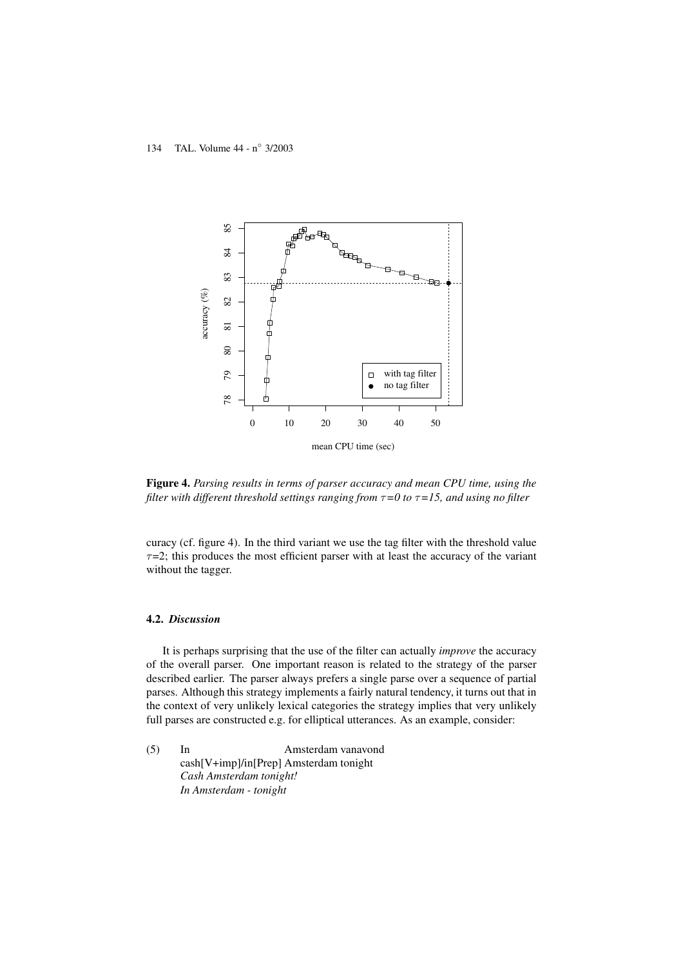

**Figure 4.** *Parsing results in terms of parser accuracy and mean CPU time, using the filter with different threshold settings ranging from* τ*=0 to* τ*=15, and using no filter*

curacy (cf. figure 4). In the third variant we use the tag filter with the threshold value  $\tau$ =2; this produces the most efficient parser with at least the accuracy of the variant without the tagger.

## **4.2.** *Discussion*

It is perhaps surprising that the use of the filter can actually *improve* the accuracy of the overall parser. One important reason is related to the strategy of the parser described earlier. The parser always prefers a single parse over a sequence of partial parses. Although this strategy implements a fairly natural tendency, it turns out that in the context of very unlikely lexical categories the strategy implies that very unlikely full parses are constructed e.g. for elliptical utterances. As an example, consider:

(5) In cash[V+imp]/in[Prep] Amsterdam tonight Amsterdam vanavond *Cash Amsterdam tonight! In Amsterdam - tonight*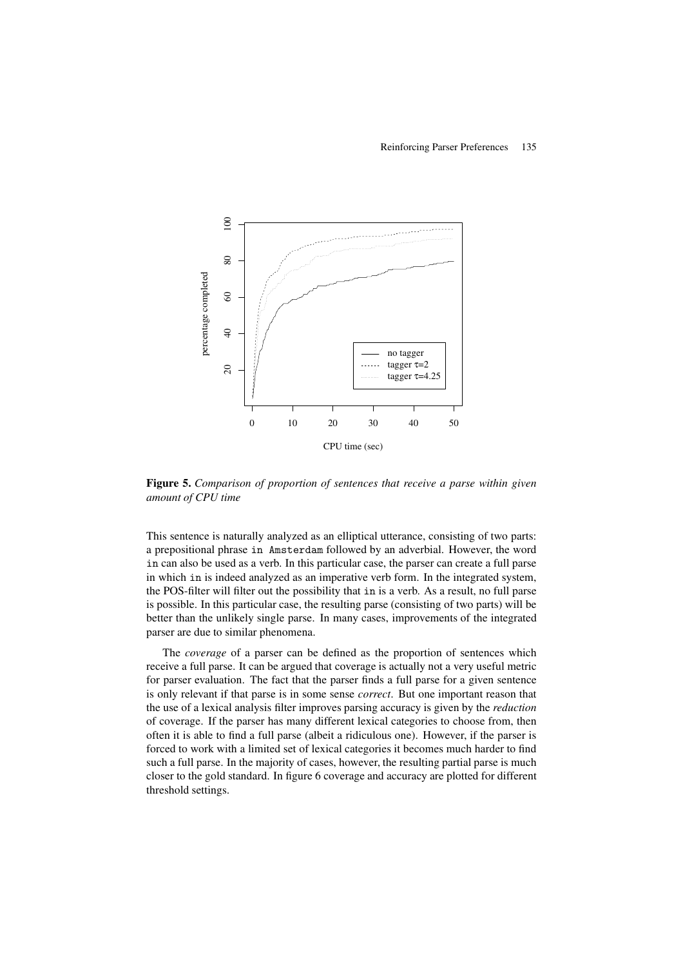

**Figure 5.** *Comparison of proportion of sentences that receive a parse within given amount of CPU time*

This sentence is naturally analyzed as an elliptical utterance, consisting of two parts: a prepositional phrase in Amsterdam followed by an adverbial. However, the word in can also be used as a verb. In this particular case, the parser can create a full parse in which in is indeed analyzed as an imperative verb form. In the integrated system, the POS-filter will filter out the possibility that in is a verb. As a result, no full parse is possible. In this particular case, the resulting parse (consisting of two parts) will be better than the unlikely single parse. In many cases, improvements of the integrated parser are due to similar phenomena.

The *coverage* of a parser can be defined as the proportion of sentences which receive a full parse. It can be argued that coverage is actually not a very useful metric for parser evaluation. The fact that the parser finds a full parse for a given sentence is only relevant if that parse is in some sense *correct*. But one important reason that the use of a lexical analysis filter improves parsing accuracy is given by the *reduction* of coverage. If the parser has many different lexical categories to choose from, then often it is able to find a full parse (albeit a ridiculous one). However, if the parser is forced to work with a limited set of lexical categories it becomes much harder to find such a full parse. In the majority of cases, however, the resulting partial parse is much closer to the gold standard. In figure 6 coverage and accuracy are plotted for different threshold settings.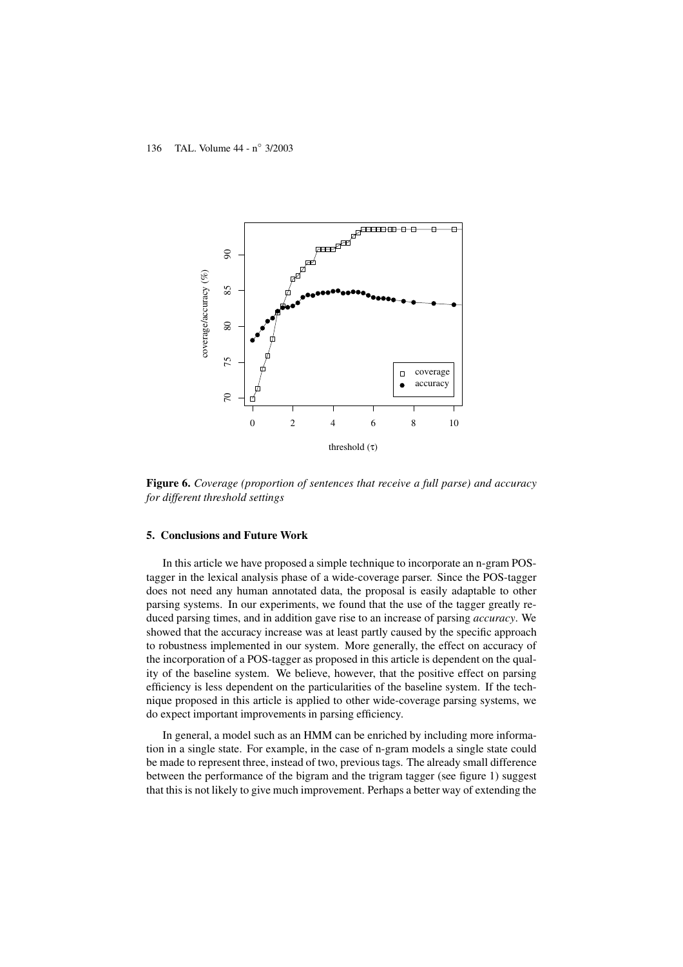

**Figure 6.** *Coverage (proportion of sentences that receive a full parse) and accuracy for different threshold settings*

#### **5. Conclusions and Future Work**

In this article we have proposed a simple technique to incorporate an n-gram POStagger in the lexical analysis phase of a wide-coverage parser. Since the POS-tagger does not need any human annotated data, the proposal is easily adaptable to other parsing systems. In our experiments, we found that the use of the tagger greatly reduced parsing times, and in addition gave rise to an increase of parsing *accuracy*. We showed that the accuracy increase was at least partly caused by the specific approach to robustness implemented in our system. More generally, the effect on accuracy of the incorporation of a POS-tagger as proposed in this article is dependent on the quality of the baseline system. We believe, however, that the positive effect on parsing efficiency is less dependent on the particularities of the baseline system. If the technique proposed in this article is applied to other wide-coverage parsing systems, we do expect important improvements in parsing efficiency.

In general, a model such as an HMM can be enriched by including more information in a single state. For example, in the case of n-gram models a single state could be made to represent three, instead of two, previous tags. The already small difference between the performance of the bigram and the trigram tagger (see figure 1) suggest that this is not likely to give much improvement. Perhaps a better way of extending the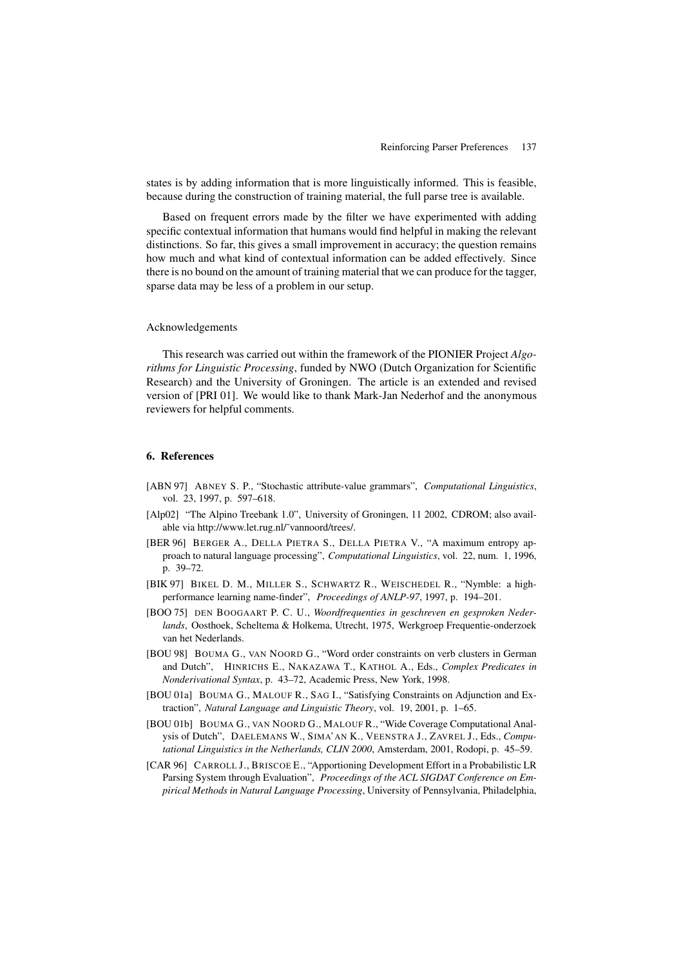states is by adding information that is more linguistically informed. This is feasible, because during the construction of training material, the full parse tree is available.

Based on frequent errors made by the filter we have experimented with adding specific contextual information that humans would find helpful in making the relevant distinctions. So far, this gives a small improvement in accuracy; the question remains how much and what kind of contextual information can be added effectively. Since there is no bound on the amount of training material that we can produce for the tagger, sparse data may be less of a problem in our setup.

#### Acknowledgements

This research was carried out within the framework of the PIONIER Project *Algorithms for Linguistic Processing*, funded by NWO (Dutch Organization for Scientific Research) and the University of Groningen. The article is an extended and revised version of [PRI 01]. We would like to thank Mark-Jan Nederhof and the anonymous reviewers for helpful comments.

#### **6. References**

- [ABN 97] ABNEY S. P., "Stochastic attribute-value grammars", *Computational Linguistics*, vol. 23, 1997, p. 597–618.
- [Alp02] "The Alpino Treebank 1.0", University of Groningen, 11 2002, CDROM; also available via http://www.let.rug.nl/˜vannoord/trees/.
- [BER 96] BERGER A., DELLA PIETRA S., DELLA PIETRA V., "A maximum entropy approach to natural language processing", *Computational Linguistics*, vol. 22, num. 1, 1996, p. 39–72.
- [BIK 97] BIKEL D. M., MILLER S., SCHWARTZ R., WEISCHEDEL R., "Nymble: a highperformance learning name-finder", *Proceedings of ANLP-97*, 1997, p. 194–201.
- [BOO 75] DEN BOOGAART P. C. U., *Woordfrequenties in geschreven en gesproken Nederlands*, Oosthoek, Scheltema & Holkema, Utrecht, 1975, Werkgroep Frequentie-onderzoek van het Nederlands.
- [BOU 98] BOUMA G., VAN NOORD G., "Word order constraints on verb clusters in German and Dutch", HINRICHS E., NAKAZAWA T., KATHOL A., Eds., *Complex Predicates in Nonderivational Syntax*, p. 43–72, Academic Press, New York, 1998.
- [BOU 01a] BOUMA G., MALOUF R., SAG I., "Satisfying Constraints on Adjunction and Extraction", *Natural Language and Linguistic Theory*, vol. 19, 2001, p. 1–65.
- [BOU 01b] BOUMA G., VAN NOORD G., MALOUF R., "Wide Coverage Computational Analysis of Dutch", DAELEMANS W., SIMA'AN K., VEENSTRA J., ZAVREL J., Eds., *Computational Linguistics in the Netherlands, CLIN 2000*, Amsterdam, 2001, Rodopi, p. 45–59.
- [CAR 96] CARROLL J., BRISCOE E., "Apportioning Development Effort in a Probabilistic LR Parsing System through Evaluation", *Proceedings of the ACL SIGDAT Conference on Empirical Methods in Natural Language Processing*, University of Pennsylvania, Philadelphia,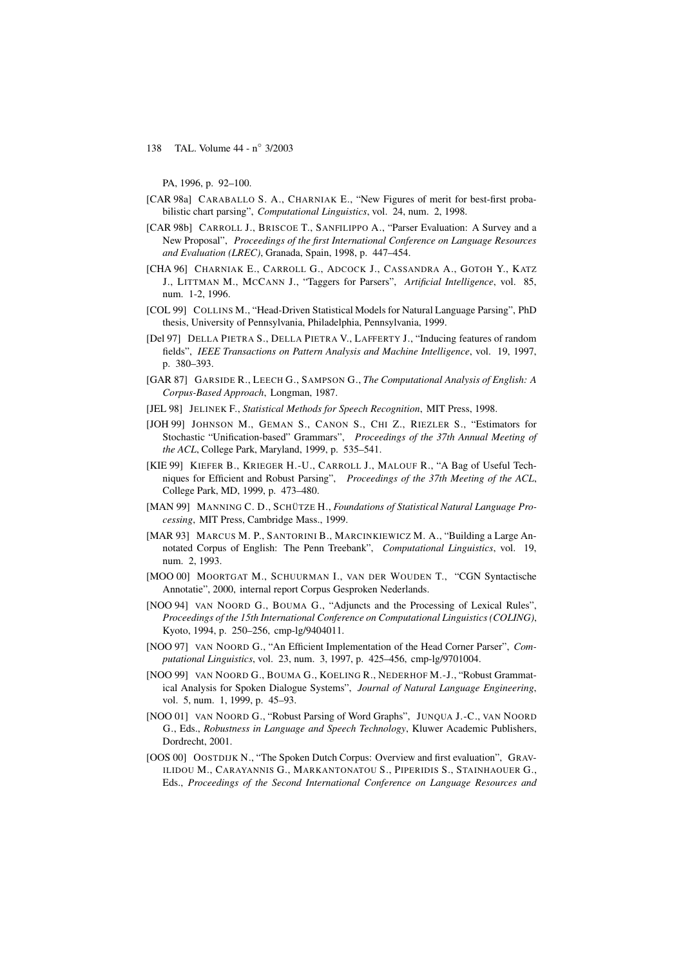PA, 1996, p. 92–100.

- [CAR 98a] CARABALLO S. A., CHARNIAK E., "New Figures of merit for best-first probabilistic chart parsing", *Computational Linguistics*, vol. 24, num. 2, 1998.
- [CAR 98b] CARROLL J., BRISCOE T., SANFILIPPO A., "Parser Evaluation: A Survey and a New Proposal", *Proceedings of the first International Conference on Language Resources and Evaluation (LREC)*, Granada, Spain, 1998, p. 447–454.
- [CHA 96] CHARNIAK E., CARROLL G., ADCOCK J., CASSANDRA A., GOTOH Y., KATZ J., LITTMAN M., MCCANN J., "Taggers for Parsers", *Artificial Intelligence*, vol. 85, num. 1-2, 1996.
- [COL 99] COLLINS M., "Head-Driven Statistical Models for Natural Language Parsing", PhD thesis, University of Pennsylvania, Philadelphia, Pennsylvania, 1999.
- [Del 97] DELLA PIETRA S., DELLA PIETRA V., LAFFERTY J., "Inducing features of random fields", *IEEE Transactions on Pattern Analysis and Machine Intelligence*, vol. 19, 1997, p. 380–393.
- [GAR 87] GARSIDE R., LEECH G., SAMPSON G., *The Computational Analysis of English: A Corpus-Based Approach*, Longman, 1987.
- [JEL 98] JELINEK F., *Statistical Methods for Speech Recognition*, MIT Press, 1998.
- [JOH 99] JOHNSON M., GEMAN S., CANON S., CHI Z., RIEZLER S., "Estimators for Stochastic "Unification-based" Grammars", *Proceedings of the 37th Annual Meeting of the ACL*, College Park, Maryland, 1999, p. 535–541.
- [KIE 99] KIEFER B., KRIEGER H.-U., CARROLL J., MALOUF R., "A Bag of Useful Techniques for Efficient and Robust Parsing", *Proceedings of the 37th Meeting of the ACL*, College Park, MD, 1999, p. 473–480.
- [MAN 99] MANNING C. D., SCHU¨ TZE H., *Foundations of Statistical Natural Language Processing*, MIT Press, Cambridge Mass., 1999.
- [MAR 93] MARCUS M. P., SANTORINI B., MARCINKIEWICZ M. A., "Building a Large Annotated Corpus of English: The Penn Treebank", *Computational Linguistics*, vol. 19, num. 2, 1993.
- [MOO 00] MOORTGAT M., SCHUURMAN I., VAN DER WOUDEN T., "CGN Syntactische Annotatie", 2000, internal report Corpus Gesproken Nederlands.
- [NOO 94] VAN NOORD G., BOUMA G., "Adjuncts and the Processing of Lexical Rules", *Proceedings of the 15th International Conference on Computational Linguistics (COLING)*, Kyoto, 1994, p. 250–256, cmp-lg/9404011.
- [NOO 97] VAN NOORD G., "An Efficient Implementation of the Head Corner Parser", *Computational Linguistics*, vol. 23, num. 3, 1997, p. 425–456, cmp-lg/9701004.
- [NOO 99] VAN NOORD G., BOUMA G., KOELING R., NEDERHOF M.-J., "Robust Grammatical Analysis for Spoken Dialogue Systems", *Journal of Natural Language Engineering*, vol. 5, num. 1, 1999, p. 45–93.
- [NOO 01] VAN NOORD G., "Robust Parsing of Word Graphs", JUNQUA J.-C., VAN NOORD G., Eds., *Robustness in Language and Speech Technology*, Kluwer Academic Publishers, Dordrecht, 2001.
- [OOS 00] OOSTDIJK N., "The Spoken Dutch Corpus: Overview and first evaluation", GRAV-ILIDOU M., CARAYANNIS G., MARKANTONATOU S., PIPERIDIS S., STAINHAOUER G., Eds., *Proceedings of the Second International Conference on Language Resources and*